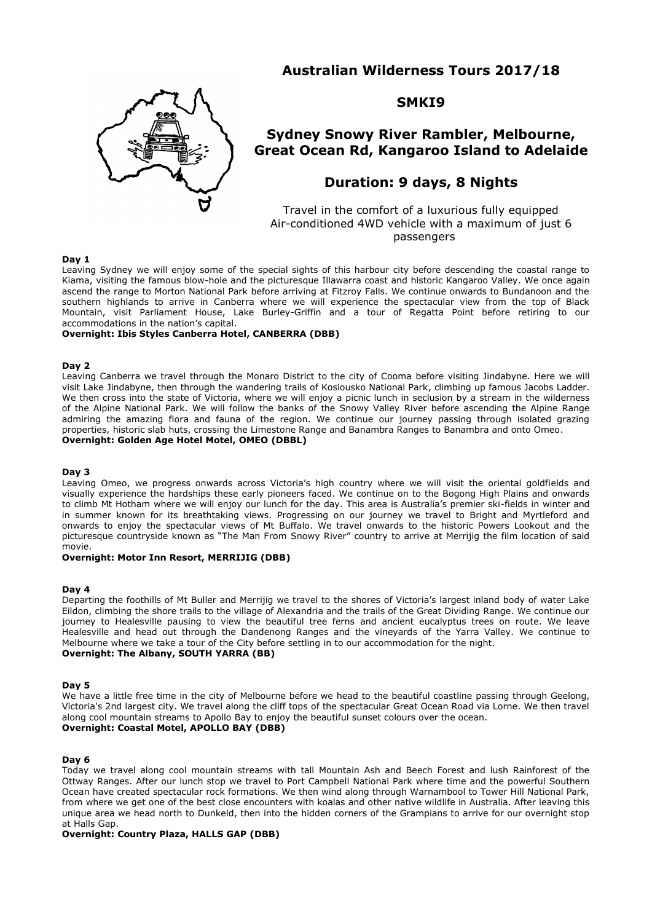## **Australian Wilderness Tours 2017/18**



## **SMKI9**

# **Sydney Snowy River Rambler, Melbourne, Great Ocean Rd, Kangaroo Island to Adelaide**

## **Duration: 9 days, 8 Nights**

Travel in the comfort of a luxurious fully equipped Air-conditioned 4WD vehicle with a maximum of just 6 passengers

#### **Day 1**

Leaving Sydney we will enjoy some of the special sights of this harbour city before descending the coastal range to Kiama, visiting the famous blow-hole and the picturesque Illawarra coast and historic Kangaroo Valley. We once again ascend the range to Morton National Park before arriving at Fitzroy Falls. We continue onwards to Bundanoon and the southern highlands to arrive in Canberra where we will experience the spectacular view from the top of Black Mountain, visit Parliament House, Lake Burley-Griffin and a tour of Regatta Point before retiring to our accommodations in the nation's capital.

#### **Overnight: Ibis Styles Canberra Hotel, CANBERRA (DBB)**

#### **Day 2**

Leaving Canberra we travel through the Monaro District to the city of Cooma before visiting Jindabyne. Here we will visit Lake Jindabyne, then through the wandering trails of Kosiousko National Park, climbing up famous Jacobs Ladder. We then cross into the state of Victoria, where we will enjoy a picnic lunch in seclusion by a stream in the wilderness of the Alpine National Park. We will follow the banks of the Snowy Valley River before ascending the Alpine Range admiring the amazing flora and fauna of the region. We continue our journey passing through isolated grazing properties, historic slab huts, crossing the Limestone Range and Banambra Ranges to Banambra and onto Omeo. **Overnight: Golden Age Hotel Motel, OMEO (DBBL)**

#### **Day 3**

Leaving Omeo, we progress onwards across Victoria's high country where we will visit the oriental goldfields and visually experience the hardships these early pioneers faced. We continue on to the Bogong High Plains and onwards to climb Mt Hotham where we will enjoy our lunch for the day. This area is Australia's premier ski-fields in winter and in summer known for its breathtaking views. Progressing on our journey we travel to Bright and Myrtleford and onwards to enjoy the spectacular views of Mt Buffalo. We travel onwards to the historic Powers Lookout and the picturesque countryside known as "The Man From Snowy River" country to arrive at Merrijig the film location of said movie.

#### **Overnight: Motor Inn Resort, MERRIJIG (DBB)**

#### **Day 4**

Departing the foothills of Mt Buller and Merrijig we travel to the shores of Victoria's largest inland body of water Lake Eildon, climbing the shore trails to the village of Alexandria and the trails of the Great Dividing Range. We continue our journey to Healesville pausing to view the beautiful tree ferns and ancient eucalyptus trees on route. We leave Healesville and head out through the Dandenong Ranges and the vineyards of the Yarra Valley. We continue to Melbourne where we take a tour of the City before settling in to our accommodation for the night. **Overnight: The Albany, SOUTH YARRA (BB)**

#### **Day 5**

We have a little free time in the city of Melbourne before we head to the beautiful coastline passing through Geelong, Victoria's 2nd largest city. We travel along the cliff tops of the spectacular Great Ocean Road via Lorne. We then travel along cool mountain streams to Apollo Bay to enjoy the beautiful sunset colours over the ocean. **Overnight: Coastal Motel, APOLLO BAY (DBB)**

#### **Day 6**

Today we travel along cool mountain streams with tall Mountain Ash and Beech Forest and lush Rainforest of the Ottway Ranges. After our lunch stop we travel to Port Campbell National Park where time and the powerful Southern Ocean have created spectacular rock formations. We then wind along through Warnambool to Tower Hill National Park, from where we get one of the best close encounters with koalas and other native wildlife in Australia. After leaving this unique area we head north to Dunkeld, then into the hidden corners of the Grampians to arrive for our overnight stop at Halls Gap.

## **Overnight: Country Plaza, HALLS GAP (DBB)**